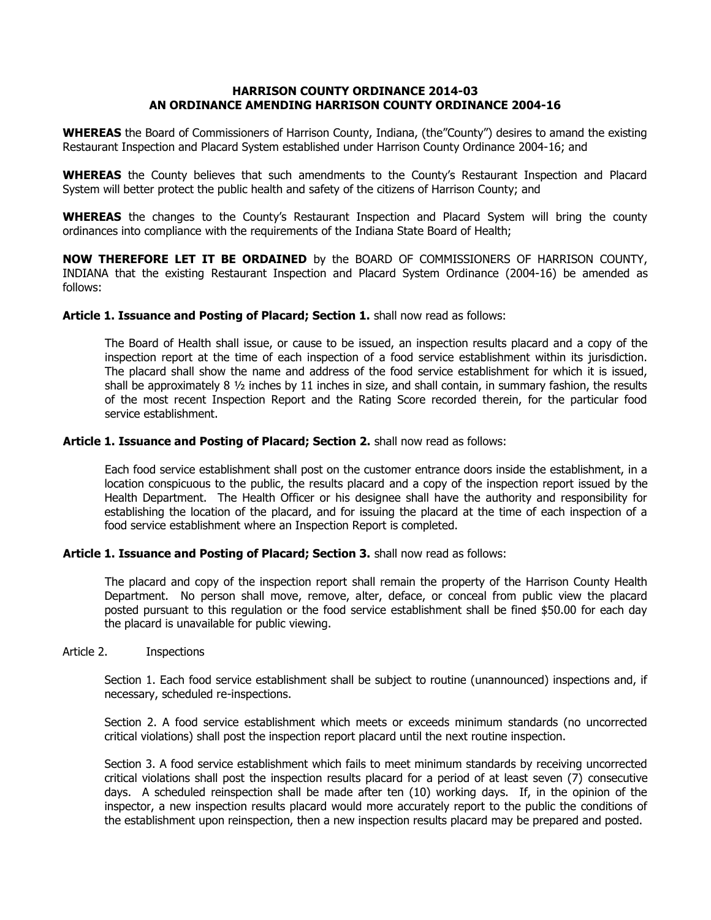## **HARRISON COUNTY ORDINANCE 2014-03 AN ORDINANCE AMENDING HARRISON COUNTY ORDINANCE 2004-16**

**WHEREAS** the Board of Commissioners of Harrison County, Indiana, (the"County") desires to amand the existing Restaurant Inspection and Placard System established under Harrison County Ordinance 2004-16; and

**WHEREAS** the County believes that such amendments to the County's Restaurant Inspection and Placard System will better protect the public health and safety of the citizens of Harrison County; and

**WHEREAS** the changes to the County's Restaurant Inspection and Placard System will bring the county ordinances into compliance with the requirements of the Indiana State Board of Health;

**NOW THEREFORE LET IT BE ORDAINED** by the BOARD OF COMMISSIONERS OF HARRISON COUNTY, INDIANA that the existing Restaurant Inspection and Placard System Ordinance (2004-16) be amended as follows:

#### **Article 1. Issuance and Posting of Placard; Section 1.** shall now read as follows:

The Board of Health shall issue, or cause to be issued, an inspection results placard and a copy of the inspection report at the time of each inspection of a food service establishment within its jurisdiction. The placard shall show the name and address of the food service establishment for which it is issued, shall be approximately 8 ½ inches by 11 inches in size, and shall contain, in summary fashion, the results of the most recent Inspection Report and the Rating Score recorded therein, for the particular food service establishment.

#### **Article 1. Issuance and Posting of Placard; Section 2.** shall now read as follows:

Each food service establishment shall post on the customer entrance doors inside the establishment, in a location conspicuous to the public, the results placard and a copy of the inspection report issued by the Health Department. The Health Officer or his designee shall have the authority and responsibility for establishing the location of the placard, and for issuing the placard at the time of each inspection of a food service establishment where an Inspection Report is completed.

#### **Article 1. Issuance and Posting of Placard; Section 3.** shall now read as follows:

The placard and copy of the inspection report shall remain the property of the Harrison County Health Department. No person shall move, remove, alter, deface, or conceal from public view the placard posted pursuant to this regulation or the food service establishment shall be fined \$50.00 for each day the placard is unavailable for public viewing.

# Article 2. Inspections

Section 1. Each food service establishment shall be subject to routine (unannounced) inspections and, if necessary, scheduled re-inspections.

Section 2. A food service establishment which meets or exceeds minimum standards (no uncorrected critical violations) shall post the inspection report placard until the next routine inspection.

Section 3. A food service establishment which fails to meet minimum standards by receiving uncorrected critical violations shall post the inspection results placard for a period of at least seven (7) consecutive days. A scheduled reinspection shall be made after ten (10) working days. If, in the opinion of the inspector, a new inspection results placard would more accurately report to the public the conditions of the establishment upon reinspection, then a new inspection results placard may be prepared and posted.